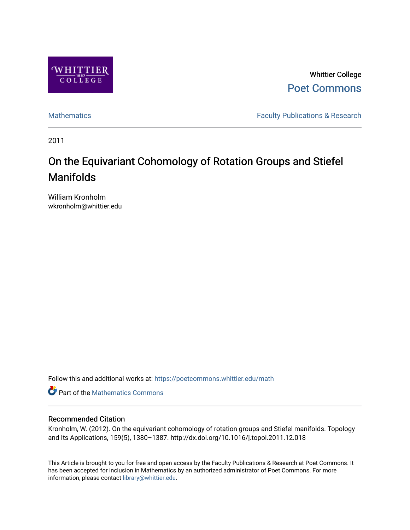

Whittier College [Poet Commons](https://poetcommons.whittier.edu/) 

[Mathematics](https://poetcommons.whittier.edu/math) **Faculty Publications & Research** 

2011

# On the Equivariant Cohomology of Rotation Groups and Stiefel Manifolds

William Kronholm wkronholm@whittier.edu

Follow this and additional works at: [https://poetcommons.whittier.edu/math](https://poetcommons.whittier.edu/math?utm_source=poetcommons.whittier.edu%2Fmath%2F1&utm_medium=PDF&utm_campaign=PDFCoverPages)

**C** Part of the [Mathematics Commons](http://network.bepress.com/hgg/discipline/174?utm_source=poetcommons.whittier.edu%2Fmath%2F1&utm_medium=PDF&utm_campaign=PDFCoverPages)

## Recommended Citation

Kronholm, W. (2012). On the equivariant cohomology of rotation groups and Stiefel manifolds. Topology and Its Applications, 159(5), 1380–1387. http://dx.doi.org/10.1016/j.topol.2011.12.018

This Article is brought to you for free and open access by the Faculty Publications & Research at Poet Commons. It has been accepted for inclusion in Mathematics by an authorized administrator of Poet Commons. For more information, please contact [library@whittier.edu.](mailto:library@whittier.edu)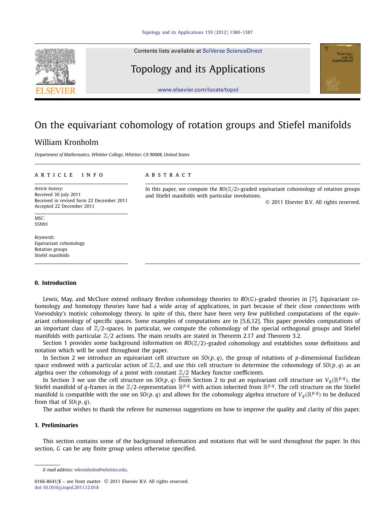Contents lists available at [SciVerse ScienceDirect](http://www.ScienceDirect.com/)

## Topology and its Applications



# On the equivariant cohomology of rotation groups and Stiefel manifolds

and Stiefel manifolds with particular involutions.

### William Kronholm

*Department of Mathematics, Whittier College, Whittier, CA 90608, United States*

#### article info abstract

*Article history:* Received 30 July 2011 Received in revised form 22 December 2011 Accepted 22 December 2011

*MSC:* 55N91

*Keywords:* Equivariant cohomology Rotation groups Stiefel manifolds

#### **0. Introduction**

Lewis, May, and McClure extend ordinary Bredon cohomology theories to *RO(G)*-graded theories in [7]. Equivariant cohomology and homotopy theories have had a wide array of applications, in part because of their close connections with Voevodsky's motivic cohomology theory. In spite of this, there have been very few published computations of the equivariant cohomology of specific spaces. Some examples of computations are in [5,6,12]. This paper provides computations of an important class of  $\mathbb{Z}/2$ -spaces. In particular, we compute the cohomology of the special orthogonal groups and Stiefel manifolds with particular  $\mathbb{Z}/2$  actions. The main results are stated in Theorem 2.17 and Theorem 3.2.

Section 1 provides some background information on *RO(*Z*/*2*)*-graded cohomology and establishes some definitions and notation which will be used throughout the paper.

In Section 2 we introduce an equivariant cell structure on  $SO(p,q)$ , the group of rotations of *p*-dimensional Euclidean space endowed with a particular action of  $\mathbb{Z}/2$ , and use this cell structure to determine the cohomology of  $SO(p,q)$  as an algebra over the cohomology of a point with constant  $\mathbb{Z}/2$  Mackey functor coefficients.

In Section 3 we use the cell structure on  $SO(p,q)$  from Section 2 to put an equivariant cell structure on  $V_q(\mathbb{R}^{p,q})$ , the Stiefel manifold of *q*-frames in the  $\mathbb{Z}/2$ -representation  $\mathbb{R}^{p,q}$  with action inherited from  $\mathbb{R}^{p,q}$ . The cell structure on the Stiefel manifold is compatible with the one on  $SO(p,q)$  and allows for the cohomology algebra structure of  $V_q(\mathbb{R}^{p,q})$  to be deduced from that of  $SO(p, q)$ .

The author wishes to thank the referee for numerous suggestions on how to improve the quality and clarity of this paper.

### **1. Preliminaries**

This section contains some of the background information and notations that will be used throughout the paper. In this section, *G* can be any finite group unless otherwise specified.





© 2011 Elsevier B.V. All rights reserved.

In this paper, we compute the  $RO(\mathbb{Z}/2)$ -graded equivariant cohomology of rotation groups

*E-mail address:* [wkronholm@whittier.edu](mailto:wkronholm@whittier.edu).

<sup>0166-8641/\$ –</sup> see front matter © 2011 Elsevier B.V. All rights reserved. [doi:10.1016/j.topol.2011.12.018](http://dx.doi.org/10.1016/j.topol.2011.12.018)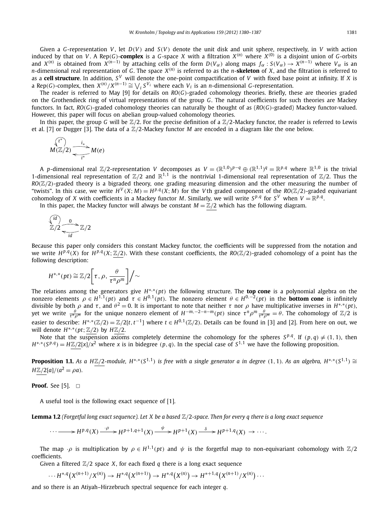Given a *G*-representation *V* , let *D(V )* and *S(V )* denote the unit disk and unit sphere, respectively, in *V* with action induced by that on V. A Rep(G)-complex is a G-space X with a filtration  $X^{(n)}$  where  $X^{(0)}$  is a disjoint union of G-orbits and  $X^{(n)}$  is obtained from  $X^{(n-1)}$  by attaching cells of the form  $D(V_\alpha)$  along maps  $f_\alpha : S(V_\alpha) \to X^{(n-1)}$  where  $V_\alpha$  is an *n*-dimensional real representation of *G*. The space *X(n)* is referred to as the *n*-**skeleton** of *X*, and the filtration is referred to as a **cell structure**. In addition, *S <sup>V</sup>* will denote the one-point compactification of *V* with fixed base point at infinity. If *X* is a Rep(G)-complex, then  $X^{(n)}/X^{(n-1)} \cong \bigvee_i S^{V_i}$  where each  $V_i$  is an *n*-dimensional G-representation.

The reader is referred to May [9] for details on *RO(G)*-graded cohomology theories. Briefly, these are theories graded on the Grothendieck ring of virtual representations of the group *G*. The natural coefficients for such theories are Mackey functors. In fact, *RO(G)*-graded cohomology theories can naturally be thought of as (*RO(G)*-graded) Mackey functor-valued. However, this paper will focus on abelian group-valued cohomology theories.

In this paper, the group *G* will be  $\mathbb{Z}/2$ . For the precise definition of a  $\mathbb{Z}/2$ -Mackey functor, the reader is referred to Lewis et al. [7] or Dugger [3]. The data of a Z*/*2-Mackey functor *M* are encoded in a diagram like the one below.

$$
\begin{array}{c}\n\sqrt{(t^*)}\n\\ \nM(\mathbb{Z}/2) \longrightarrow \text{M}(e)\n\\ \n\sqrt{t^*}\n\end{array}
$$

A p-dimensional real Z/2-representation V decomposes as  $V=(\mathbb{R}^{1,0})^{p-q}\oplus(\mathbb{R}^{1,1})^q=\mathbb{R}^{p,q}$  where  $\mathbb{R}^{1,0}$  is the trivial 1-dimensional real representation of  $\mathbb{Z}/2$  and  $\mathbb{R}^{1,1}$  is the nontrivial 1-dimensional real representation of  $\mathbb{Z}/2$ . Thus the  $RO(Z/2)$ -graded theory is a bigraded theory, one grading measuring dimension and the other measuring the number of "twists". In this case, we write  $H^V(X;M) = H^{p,q}(X;M)$  for the Vth graded component of the RO( $\mathbb{Z}/2$ )-graded equivariant cohomology of *X* with coefficients in a Mackey functor *M*. Similarly, we will write  $S^{p,q}$  for  $S^V$  when  $V = \mathbb{R}^{p,q}$ .

In this paper, the Mackey functor will always be constant  $M = \mathbb{Z}/2$  which has the following diagram.

$$
\frac{\binom{\text{id}}{d}}{\mathbb{Z}/2} \xrightarrow{\qquad \qquad 0} \mathbb{Z}/2
$$

Because this paper only considers this constant Mackey functor, the coefficients will be suppressed from the notation and we write  $H^{p,q}(X)$  for  $H^{p,q}(X;\mathbb{Z}/2)$ . With these constant coefficients, the  $R_0(\mathbb{Z}/2)$ -graded cohomology of a point has the following description:

$$
H^{*,*}(pt) \cong \mathbb{Z}/2\bigg[\tau,\rho,\frac{\theta}{\tau^n\rho^m}\bigg]\bigg/\sim
$$

The relations among the generators give *H*∗*,*∗*(pt)* the following structure. The **top cone** is a polynomial algebra on the nonzero elements  $\rho \in H^{1,1}(pt)$  and  $\tau \in H^{0,1}(pt)$ . The nonzero element  $\theta \in H^{0,-2}(pt)$  in the **bottom cone** is infinitely divisible by both  $\rho$  and  $\tau$ , and  $\theta^2 = 0$ . It is important to note that neither  $\tau$  nor  $\rho$  have multiplicative inverses in  $H^{*,*}(pt)$ , yet we write  $\frac{\theta}{\tau^n \rho^m}$  for the unique nonzero element of  $H^{-m,-2-n-m}(pt)$  since  $\tau^n \rho^m \frac{\theta}{\tau^n \rho^m} = \theta$ . The cohomology of  $\mathbb{Z}/2$  is easier to describe:  $H^{*,*}(\mathbb{Z}/2) = \mathbb{Z}/2[t, t^{-1}]$  where  $t \in H^{0,1}(\mathbb{Z}/2)$ . Details can be found in [3] and [2]. From here on out, we *will denote H<sup>∗</sup><sup><i>,*</sup>\*(*pt*; ℤ/2) by *H***ℤ/2**.

Note that the suspension axioms completely determine the cohomology for the spheres  $S^{p,q}$ . If  $(p,q) \neq (1,1)$ , then  $H^{*,*}(S^{p,q}) = H\mathbb{Z}/2[x]/x^2$  where x is in bidegree  $(p,q)$ . In the special case of  $S^{1,1}$  we have the following proposition.

**Proposition 1.1.** As a HZ/2-module,  $H^{*,*}(S^{1,1})$  is free with a single generator a in degree (1, 1). As an algebra,  $H^{*,*}(S^{1,1}) \cong$ *H*Z/2[*a*]/( $a^2 = \rho a$ )*.* 

**Proof.** See [5].  $\Box$ 

A useful tool is the following exact sequence of [1].

**Lemma 1.2** *(Forgetful long exact sequence). Let X be a based* Z*/*2*-space. Then for every q there is a long exact sequence*

$$
\cdots \longrightarrow H^{p,q}(X) \xrightarrow{\cdot \rho} H^{p+1,q+1}(X) \xrightarrow{\psi} H^{p+1}(X) \xrightarrow{\delta} H^{p+1,q}(X) \longrightarrow \cdots
$$

The map  $\cdot \rho$  is multiplication by  $\rho \in H^{1,1}(pt)$  and  $\psi$  is the forgetful map to non-equivariant cohomology with  $\mathbb{Z}/2$ coefficients.

Given a filtered  $\mathbb{Z}/2$  space X, for each fixed q there is a long exact sequence

$$
\cdots H^{*,q}(X^{(n+1)}/X^{(n)}) \to H^{*,q}(X^{(n+1)}) \to H^{*,q}(X^{(n)}) \to H^{*+1,q}(X^{(n+1)}/X^{(n)}) \cdots
$$

and so there is an Atiyah–Hirzebruch spectral sequence for each integer *q*.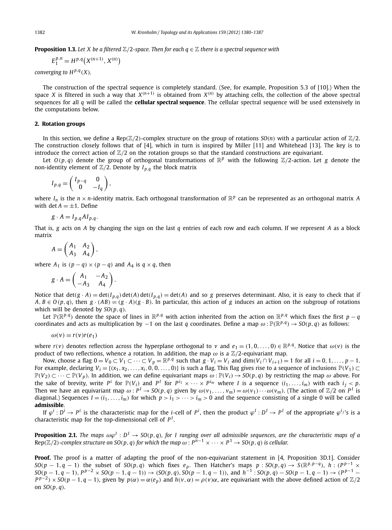**Proposition 1.3.** *Let X be a filtered*  $\mathbb{Z}/2$ *-space. Then for each*  $q \in \mathbb{Z}$  *there is a spectral sequence with* 

$$
E_1^{p,n} = H^{p,q}(X^{(n+1)}, X^{(n)})
$$

*converging to*  $H^{p,q}(X)$ *.* 

The construction of the spectral sequence is completely standard. (See, for example, Proposition 5.3 of [10].) When the space *X* is filtered in such a way that  $X^{(n+1)}$  is obtained from  $X^{(n)}$  by attaching cells, the collection of the above spectral sequences for all *q* will be called the **cellular spectral sequence**. The cellular spectral sequence will be used extensively in the computations below.

#### **2. Rotation groups**

In this section, we define a Rep $(\mathbb{Z}/2)$ -complex structure on the group of rotations  $SO(n)$  with a particular action of  $\mathbb{Z}/2$ . The construction closely follows that of [4], which in turn is inspired by Miller [11] and Whitehead [13]. The key is to introduce the correct action of  $\mathbb{Z}/2$  on the rotation groups so that the standard constructions are equivariant.

Let  $O(p,q)$  denote the group of orthogonal transformations of  $\mathbb{R}^p$  with the following  $\mathbb{Z}/2$ -action. Let *g* denote the non-identity element of  $\mathbb{Z}/2$ . Denote by  $I_{p,q}$  the block matrix

$$
I_{p,q} = \begin{pmatrix} I_{p-q} & 0 \\ 0 & -I_q \end{pmatrix},
$$

where  $I_n$  is the  $n \times n$ -identity matrix. Each orthogonal transformation of  $\mathbb{R}^p$  can be represented as an orthogonal matrix *A* with det  $A = \pm 1$ . Define

$$
g \cdot A = I_{p,q} A I_{p,q}.
$$

That is, *g* acts on *A* by changing the sign on the last *q* entries of each row and each column. If we represent *A* as a block matrix

$$
A = \begin{pmatrix} A_1 & A_2 \\ A_3 & A_4 \end{pmatrix},
$$

where  $A_1$  is  $(p - q) \times (p - q)$  and  $A_4$  is  $q \times q$ , then

$$
g \cdot A = \begin{pmatrix} A_1 & -A_2 \\ -A_3 & A_4 \end{pmatrix}.
$$

Notice that  $det(g \cdot A) = det(I_{p,q}) det(A) det(I_{p,q}) = det(A)$  and so g preserves determinant. Also, it is easy to check that if  $A, B \in O(p, q)$ , then  $g \cdot (AB) = (g \cdot A)(g \cdot B)$ . In particular, this action of g induces an action on the subgroup of rotations which will be denoted by  $SO(p, q)$ .

Let  $\mathbb{P}(\mathbb{R}^{p,q})$  denote the space of lines in  $\mathbb{R}^{p,q}$  with action inherited from the action on  $\mathbb{R}^{p,q}$  which fixes the first *p* − *q* coordinates and acts as multiplication by −1 on the last *q* coordinates. Define a map  $\omega : \mathbb{P}(\mathbb{R}^{p,q}) \to SO(p,q)$  as follows:

$$
\omega(v) = r(v)r(e_1)
$$

where  $r(v)$  denotes reflection across the hyperplane orthogonal to v and  $e_1 = (1, 0, \ldots, 0) \in \mathbb{R}^{p,q}$ . Notice that  $\omega(v)$  is the product of two reflections, whence a rotation. In addition, the map  $\omega$  is a  $\mathbb{Z}/2$ -equivariant map.

Now, choose a flag  $0 = V_0 \subset V_1 \subset \cdots \subset V_p = \mathbb{R}^{p,q}$  such that  $g \cdot V_i = V_i$  and  $\dim(V_i \cap V_{i+1}) = 1$  for all  $i = 0, 1, \ldots, p-1$ . For example, declaring  $V_i = \{(x_1, x_2, \ldots, x_i, 0, 0, \ldots, 0)\}$  is such a flag. This flag gives rise to a sequence of inclusions  $\mathbb{P}(V_1) \subset$  $\mathbb{P}(V_2) \subset \cdots \subset \mathbb{P}(V_n)$ . In addition, we can define equivariant maps  $\omega : \mathbb{P}(V_i) \to SO(p,q)$  by restricting the map  $\omega$  above. For the sake of brevity, write  $P^i$  for  $\mathbb{P}(V_i)$  and  $P^i$  for  $P^{i_1} \times \cdots \times P^{i_m}$  where I is a sequence  $(i_1, \ldots, i_m)$  with each  $i_j < p$ . Then we have an equivariant map  $\omega$ :  $P^I \to SO(p,q)$  given by  $\omega(v_1,\ldots,v_m) = \omega(v_1)\cdots\omega(v_m)$ . (The action of  $\mathbb{Z}/2$  on  $P^I$  is diagonal.) Sequences  $I = (i_1, \ldots, i_m)$  for which  $p > i_1 > \cdots > i_m > 0$  and the sequence consisting of a single 0 will be called **admissible**.

If  $\varphi^i : D^i \to P^i$  is the characteristic map for the *i*-cell of  $P^i$ , then the product  $\varphi^l : D^l \to P^l$  of the appropriate  $\varphi^{i_j}$ 's is a characteristic map for the top-dimensional cell of *P <sup>I</sup>* .

**Proposition 2.1.** *The maps*  $\omega\varphi^I : D^I \to SO(p,q)$ , for *I* ranging over all admissible sequences, are the characteristic maps of a Rep( $\mathbb{Z}/2$ )-complex structure on SO(p, q) for which the map  $\omega$ :  $P^{n-1} \times \cdots \times P^1 \to SO(p,q)$  is cellular.

**Proof.** The proof is a matter of adapting the proof of the non-equivariant statement in [4, Proposition 3D.1]. Consider  $SO(p-1,q-1)$  the subset of  $SO(p,q)$  which fixes  $e_p$ . Then Hatcher's maps  $p:SO(p,q) \to S(\mathbb{R}^{p,p-q})$ ,  $h:(P^{p-1} \times P^{p-q})$  $SO(p-1,q-1), P^{p-2} \times SO(p-1,q-1) \rightarrow (SO(p,q), SO(p-1,q-1)),$  and  $h^{-1}$ :  $SO(p,q)$  –  $SO(p-1,q-1) \rightarrow (P^{p-1}$  –  $P^{p-2}$  ×  $SO(p-1, q-1)$ , given by  $p(\alpha) = \alpha(e_p)$  and  $h(v, \alpha) = \rho(v)\alpha$ , are equivariant with the above defined action of  $\mathbb{Z}/2$ on *SO(p, q)*.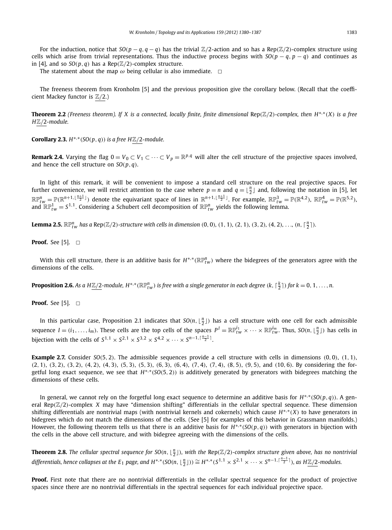The statement about the map  $\omega$  being cellular is also immediate.  $\Box$ 

The freeness theorem from Kronholm [5] and the previous proposition give the corollary below. (Recall that the coefficient Mackey functor is Z*/*2.)

**Theorem 2.2** (Freeness theorem). If X is a connected, locally finite, finite dimensional  $\text{Rep}(\mathbb{Z}/2)$ -complex, then  $H^{*,*}(X)$  is a free *H*Z*/*2*-module.*

**Corollary 2.3.**  $H^{*,*}(SO(p,q))$  is a free  $H\mathbb{Z}/2$ -module.

**Remark 2.4.** Varying the flag  $0 = V_0 \subset V_1 \subset \cdots \subset V_p = \mathbb{R}^{p,q}$  will alter the cell structure of the projective spaces involved, and hence the cell structure on *SO(p, q)*.

In light of this remark, it will be convenient to impose a standard cell structure on the real projective spaces. For further convenience, we will restrict attention to the case where  $p=n$  and  $q=\lfloor \frac{n}{2}\rfloor$  and, following the notation in [5], let  $\mathbb{RP}^n_{tw} = \mathbb{P}(\mathbb{R}^{n+1, \lfloor \frac{n+1}{2} \rfloor})$  denote the equivariant space of lines in  $\mathbb{R}^{n+1, \lfloor \frac{n+1}{2} \rfloor}$ . For example,  $\mathbb{RP}^3_{tw} = \mathbb{P}(\mathbb{R}^{4,2})$ ,  $\mathbb{RP}^4_{tw} = \mathbb{P}(\mathbb{R}^{5,2})$ , and  $\mathbb{RP}_{tw}^1=S^{1,1}$ . Considering a Schubert cell decomposition of  $\mathbb{RP}_{tw}^n$  yields the following lemma.

**Lemma 2.5.**  $\mathbb{RP}_{tw}^n$  has a Rep( $\mathbb{Z}/2$ )-structure with cells in dimension  $(0,0)$ ,  $(1,1)$ ,  $(2,1)$ ,  $(3,2)$ ,  $(4,2)$ , ...,  $(n, \lceil \frac{n}{2} \rceil)$ .

### **Proof.** See [5].  $\Box$

 $W$ ith this cell structure, there is an additive basis for  $H^{*,*}(\mathbb{RP}^n_{tw})$  where the bidegrees of the generators agree with the dimensions of the cells.

**Proposition 2.6.** As a H $\mathbb{Z}/2$ -module, H\* \* ( $\mathbb{RP}^n_{tw}$ ) is free with a single generator in each degree (k,  $\lceil\frac{k}{2}\rceil$ ) for  $k=0,1,\ldots,n$ .

**Proof.** See [5].  $\Box$ 

In this particular case, Proposition 2.1 indicates that  $SO(n, \lfloor \frac{n}{2} \rfloor)$  has a cell structure with one cell for each admissible sequence  $I=(i_1,\ldots,i_m)$ . These cells are the top cells of the spaces  $P^I=\mathbb{RP}^{i_1}_{tw}\times\cdots\times\mathbb{RP}^{i_m}_{tw}$ . Thus,  $SO(n,\lfloor\frac{n}{2}\rfloor)$  has cells in bijection with the cells of  $S^{1,1} \times S^{2,1} \times S^{3,2} \times S^{4,2} \times \cdots \times S^{n-1,\lceil \frac{n-1}{2} \rceil}$ .

**Example 2.7.** Consider *SO(*5*,* 2*)*. The admissible sequences provide a cell structure with cells in dimensions *(*0*,* 0*)*, *(*1*,* 1*)*,  $(2, 1)$ ,  $(3, 2)$ ,  $(3, 2)$ ,  $(4, 2)$ ,  $(4, 3)$ ,  $(5, 3)$ ,  $(5, 3)$ ,  $(6, 3)$ ,  $(6, 4)$ ,  $(7, 4)$ ,  $(7, 4)$ ,  $(8, 5)$ ,  $(9, 5)$ , and  $(10, 6)$ . By considering the forgetful long exact sequence, we see that *H*∗*,*∗*(SO(*5*,* 2*))* is additively generated by generators with bidegrees matching the dimensions of these cells.

In general, we cannot rely on the forgetful long exact sequence to determine an additive basis for *H*∗*,*∗*(SO(p, q))*. A general Rep $(\mathbb{Z}/2)$ -complex *X* may have "dimension shifting" differentials in the cellular spectral sequence. These dimension shifting differentials are nontrivial maps (with nontrivial kernels and cokernels) which cause *H*∗*,*∗*(X)* to have generators in bidegrees which do not match the dimensions of the cells. (See [5] for examples of this behavior in Grassmann manifolds.) However, the following theorem tells us that there is an additive basis for *H*∗*,*∗*(SO(p, q))* with generators in bijection with the cells in the above cell structure, and with bidegree agreeing with the dimensions of the cells.

**Theorem 2.8.** The cellular spectral sequence for SO(n,  $\lfloor \frac{n}{2} \rfloor$ ), with the Rep( $\mathbb{Z}/2$ )-complex structure given above, has no nontrivial differentials, hence collapses at the  $E_1$  page, and  $H^{*,*}(\mathrm{SO}(n,\lfloor\frac{n}{2}\rfloor))\cong H^{*,*}(S^{1,1}\times S^{2,1}\times\cdots\times S^{n-1,\lceil\frac{n-1}{2}\rceil}),$  as  $H\underline{\mathbb{Z}/2}$ -modules.

**Proof.** First note that there are no nontrivial differentials in the cellular spectral sequence for the product of projective spaces since there are no nontrivial differentials in the spectral sequences for each individual projective space.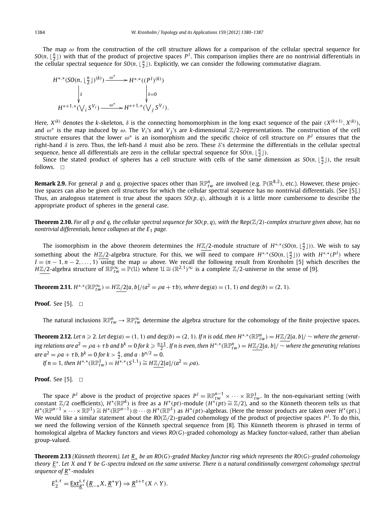The map *ω* from the construction of the cell structure allows for a comparison of the cellular spectral sequence for  $SO(n, \lfloor \frac{n}{2} \rfloor)$  with that of the product of projective spaces *P*<sup>*I*</sup>. This comparison implies there are no nontrivial differentials in the cellular spectral sequence for  $SO(n, \lfloor \frac{n}{2} \rfloor)$ . Explicitly, we can consider the following commutative diagram.

$$
H^{*,*}(SO(n, \lfloor \frac{n}{2} \rfloor)^{(k)}) \xrightarrow{\omega^*} H^{*,*}((P^1)^{(k)})
$$

$$
\downarrow \delta
$$

$$
H^{*+1,*}(\bigvee_i S^{V_i}) \xrightarrow{\omega^*} H^{*+1,*}(\bigvee_j S^{V_j}).
$$

Here,  $X^{(k)}$  denotes the k-skeleton,  $\delta$  is the connecting homomorphism in the long exact sequence of the pair  $(X^{(k+1)}, X^{(k)})$ , and  $\omega^*$  is the map induced by  $\omega$ . The *V<sub>i</sub>*'s and *V<sub>j</sub>*'s are *k*-dimensional  $\mathbb{Z}/2$ -representations. The construction of the cell structure ensures that the lower  $\omega^*$  is an isomorphism and the specific choice of cell structure on  $P^I$  ensures that the right-hand *δ* is zero. Thus, the left-hand *δ* must also be zero. These *δ*'s determine the differentials in the cellular spectral sequence, hence all differentials are zero in the cellular spectral sequence for  $SO(n, \lfloor \frac{n}{2} \rfloor)$ .

Since the stated product of spheres has a cell structure with cells of the same dimension as  $SO(n, \lfloor \frac{n}{2} \rfloor)$ , the result follows.  $\square$ 

**Remark 2.9.** For general  $p$  and  $q$ , projective spaces other than  $\mathbb{RP}^n_{tw}$  are involved (e.g.  $\mathbb{P}(\mathbb{R}^{8,2})$ , etc.). However, these projective spaces can also be given cell structures for which the cellular spectral sequence has no nontrivial differentials. (See [5].) Thus, an analogous statement is true about the spaces  $SO(p, q)$ , although it is a little more cumbersome to describe the appropriate product of spheres in the general case.

**Theorem 2.10.** For all p and q, the cellular spectral sequence for  $SO(p, q)$ , with the Rep $(\mathbb{Z}/2)$ -complex structure given above, has no *nontrivial differentials, hence collapses at the E*<sup>1</sup> *page.*

The isomorphism in the above theorem determines the *H*<sup>∑</sup>/2-module structure of *H*<sup>∗</sup><sub>*<sup>\*</sup></sub>*(*SO*(*n*,  $\lfloor \frac{n}{2} \rfloor$ )). We wish to say</sub> something about the H $\mathbb{Z}/2$ -algebra structure. For this, we will need to compare  $H^{*,*}(SO(n,\lfloor \frac{n}{2}\rfloor))$  with  $H^{*,*}(P^1)$  where  $I = (n-1, n-2, \ldots, 1)$  using the map  $\omega$  above. We recall the following result from Kronholm [5] which describes the *H*Z/2-algebra structure of  $\mathbb{RP}_{tw}^{\infty} = \mathbb{P}(\hat{U})$  where  $\mathcal{U} \cong (\mathbb{R}^{2,1})^{\infty}$  is a complete Z/2-universe in the sense of [9].

**Theorem 2.11.**  $H^{*,*}(\mathbb{R}P_{tw}^{\infty}) = H \mathbb{Z}/2[a,b]/(a^2 = \rho a + \tau b)$ , where  $deg(a) = (1, 1)$  and  $deg(b) = (2, 1)$ .

#### **Proof.** See [5].  $\Box$

The natural inclusions  $\R{P^n_{tw}}\to \R{P^\infty_{tw}}$  determine the algebra structure for the cohomology of the finite projective spaces.

**Theorem 2.12.** Let  $n \ge 2$ . Let  $deg(a) = (1, 1)$  and  $deg(b) = (2, 1)$ . If n is odd, then  $H^{*,*}(\mathbb{R}P^n_{tw}) = H\underline{\mathbb{Z}}/2[a, b] / \sim$  where the generating relations are  $a^2=\rho a+\tau b$  and  $b^k=0$  for  $k\geqslant\frac{n+1}{2}.$  If  $n$  is even, then  $H^{*,*}(\mathbb{R}\mathbb{P}^n_{tw})=H\underline{\mathbb{Z}/2}[a,b]/\sim$  where the generating relations *are*  $a^2 = \rho a + \tau b$ ,  $b^k = 0$  for  $k > \frac{n}{2}$ , and  $a \cdot b^{n/2} = 0$ .

*If*  $n = 1$ *, then*  $H^{*,*}(\mathbb{RP}^1_{tw}) = H^{*,*}(S^{1,1}) \cong H\mathbb{Z}/2[a]/(a^2 = \rho a)$ *.* 

**Proof.** See [5].  $\Box$ 

The space  $P^I$  above is the product of projective spaces  $P^I = \mathbb{RP}^{n-1}_{tw} \times \cdots \times \mathbb{RP}^1_{tw}$ . In the non-equivariant setting (with constant  $\mathbb{Z}/2$  coefficients),  $H^*(\mathbb{RP}^k)$  is free as a  $H^*(pt)$ -module  $(H^*(pt) \cong \$  $H^*(\mathbb{R}\mathbb{P}^{n-1}\times\cdots\times\mathbb{R}\mathbb{P}^1)\cong H^*(\mathbb{R}\mathbb{P}^{n-1})\otimes\cdots\otimes H^*(\mathbb{R}\mathbb{P}^1)$  as  $H^*(pt)$ -algebras. (Here the tensor products are taken over  $H^*(pt).$ ) We would like a similar statement about the *RO*( $\mathbb{Z}/2$ )-graded cohomology of the product of projective spaces  $P^I$ . To do this, we need the following version of the Künneth spectral sequence from [8]. This Künneth theorem is phrased in terms of homological algebra of Mackey functors and views *RO(G)*-graded cohomology as Mackey functor-valued, rather than abelian group-valued.

**Theorem 2.13** *(Künneth theorem). Let R*<sup>∗</sup> *be an RO(G)-graded Mackey functor ring which represents the RO(G)-graded cohomology theory E*∗*. Let X and Y be G-spectra indexed on the same universe. There is a natural conditionally convergent cohomology spectral sequence of R*∗*-modules*

$$
E_2^{s,\tau} = \underline{\operatorname{Ext}}_{\underline{R}^*}^{s,\tau} \left( \underline{R}_{-*} X, \underline{R}^* Y \right) \Rightarrow \underline{R}^{s+\tau} \left( X \wedge Y \right).
$$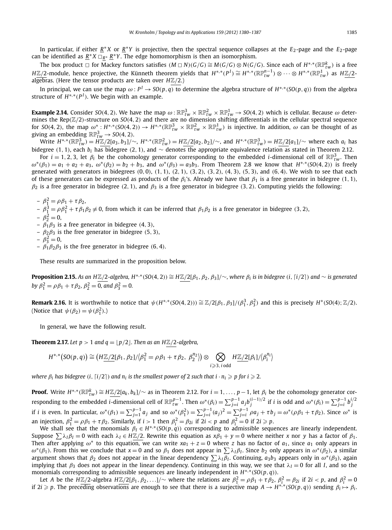In particular, if either *<sup>R</sup>*<sup>∗</sup> *<sup>X</sup>* or *<sup>R</sup>*∗*<sup>Y</sup>* is projective, then the spectral sequence collapses at the *<sup>E</sup>*2-page and the *<sup>E</sup>*2-page can be identified as  $\underline{R}^* X \square_{\underline{R}^*} \underline{R}^* Y$ . The edge homomorphism is then an isomorphism.

The box product  $\Box$  for Mackey functors satisfies  $(M \Box N)(G/G) \cong M(G/G) \otimes N(G/G)$ . Since each of  $H^{*,*}(\mathbb{RP}^k_{tw})$  is a free  $H\underline{\mathbb{Z}/2}$ -module, hence projective, the Künneth theorem yields that  $H^{*,*}(P^I)\cong H^{*,*}(\mathbb{RP}^{n-1}_{tw})\otimes\cdots\otimes H^{*,*}(\mathbb{RP}^1_{tw})$  as  $H\underline{\mathbb{Z}/2}$ algebras. (Here the tensor products are taken over *H*Z*/*2.)

In principal, we can use the map  $\omega$ :  $P^I \to SO(p,q)$  to determine the algebra structure of  $H^{*,*}(SO(p,q))$  from the algebra structure of  $H^{*,*}(P^I)$ . We begin with an example.

 $E$ **xample 2.14.** Consider SO(4, 2). We have the map  $\omega$  :  $\mathbb{RP}^3_{tw}\times\mathbb{RP}^2_{tw}\times\mathbb{RP}^1_{tw}\to$  SO(4, 2) which is cellular. Because  $\omega$  determines the Rep*(*Z*/*2*)*-structure on *SO(*4*,* 2*)* and there are no dimension shifting differentials in the cellular spectral sequence for SO(4, 2), the map  $\omega^*_{\frac{1}{2}}:H^{*,*}(SO(4,2))\to H^{*,*}(\mathbb{RP}^3_{tw}\times\mathbb{RP}^2_{tw}\times\mathbb{RP}^1_{tw})$  is injective. In addition,  $\omega$  can be thought of as giving an embedding  $\mathbb{RP}_{tw}^3 \rightarrow SO(4, 2)$ .

Write  $H^{*,*}(\mathbb{RP}^3_{tw}) = H\mathbb{Z}/2[a_3,b_3]/\sim$ ,  $H^{*,*}(\mathbb{RP}^2_{tw}) = H\mathbb{Z}/2[a_2,b_2]/\sim$ , and  $H^{*,*}(\mathbb{RP}^3_{tw}) = H\mathbb{Z}/2[a_1]/\sim$  where each  $a_i$  has bidegree (1, 1), each  $b_i$  has bidegree (2, 1), and  $\sim$  denotes the appropriate equivalence relation as stated in Theorem 2.12.

For  $i = 1, 2, 3$ , let  $\beta_i$  be the cohomology generator corresponding to the embedded *i*-dimensional cell of  $\mathbb{RP}^3_{tw}$ . Then  $\omega^*(\beta_1) = a_1 + a_2 + a_3$ ,  $\omega^*(\beta_2) = b_2 + b_3$ , and  $\omega^*(\beta_3) = a_3b_3$ . From Theorem 2.8 we know that  $H^{*,*}(SO(4,2))$  is freely generated with generators in bidegrees  $(0, 0)$ ,  $(1, 1)$ ,  $(2, 1)$ ,  $(3, 2)$ ,  $(3, 2)$ ,  $(4, 3)$ ,  $(5, 3)$ , and  $(6, 4)$ . We wish to see that each of these generators can be expressed as products of the  $β<sub>i</sub>$ 's. Already we have that  $β<sub>1</sub>$  is a free generator in bidegree (1, 1),  $β_2$  is a free generator in bidegree (2, 1), and  $β_3$  is a free generator in bidegree (3, 2). Computing yields the following:

 $- \beta_1^2 = \rho \beta_1 + \tau \beta_2$ ,

 $-$  *β*<sub>1</sub><sup>2</sup> = *ρβ*<sub>1</sub><sup>2</sup> + τ*β*<sub>1</sub>*β*<sub>2</sub> ≠ 0, from which it can be inferred that *β*<sub>1</sub>*β*<sub>2</sub> is a free generator in bidegree (3, 2),

- $-\beta_2^2=0,$
- *β*1*β*<sup>3</sup> is a free generator in bidegree *(*4*,* 3*)*,
- *β*2*β*<sup>3</sup> is the free generator in bidegree *(*5*,* 3*)*,
- $-\beta_3^2=0,$
- *β*1*β*2*β*<sup>3</sup> is the free generator in bidegree *(*6*,* 4*)*.

These results are summarized in the proposition below.

**Proposition 2.15.** As an HZ/2-algebra,  $H^{*,*}(SO(4,2)) \cong H\mathbb{Z}/2[\beta_1,\beta_2,\beta_3]/\sim$ , where  $\beta_i$  is in bidegree (i, [i/2]) and  $\sim$  is generated *by*  $\beta_1^2 = \rho \beta_1 + \tau \beta_2$ ,  $\beta_2^2 = 0$ , and  $\beta_3^2 = 0$ .

**Remark 2.16.** It is worthwhile to notice that  $\psi(H^{*,*}(SO(4,2))) \cong \mathbb{Z}/2[\beta_1,\beta_3]/(\beta_1^3,\beta_3^2)$  and this is precisely  $H^*(SO(4);\mathbb{Z}/2)$ . (Notice that  $\psi(\beta_2) = \psi(\beta_1^2)$ .)

In general, we have the following result.

**Theorem 2.17.** Let  $p > 1$  and  $q = \lfloor p/2 \rfloor$ . Then as an HZ/2-algebra,

$$
H^{*,*}(\mathsf{SO}(p,q)) \cong \left(\frac{H\mathbb{Z}}{2}[\beta_1,\beta_2]/\beta_1^2 = \rho\beta_1 + \tau\beta_2,\ \beta_2^{n_2}\right) \otimes \bigotimes_{i \geqslant 3,\ i \text{ odd}} \frac{H\mathbb{Z}}{2}[\beta_i]/\beta_i^{n_i}
$$

where  $\beta_i$  has bidegree  $(i, \lceil i/2 \rceil)$  and  $n_i$  is the smallest power of 2 such that  $i \cdot n_i \geqslant p$  for  $i \geqslant 2.$ 

**Proof.** Write  $H^{*,*}(\mathbb{RP}^k_{tw}) \cong H\underline{\mathbb{Z}/2}[a_k,b_k]/\sim$  as in Theorem 2.12. For  $i=1,\ldots,p-1,$  let  $\beta_i$  be the cohomology generator corresponding to the embedded *i*-dimensional cell of  $\mathbb{RP}_{tw}^{p-1}$ . Then  $\omega^*(\beta_i) = \sum_{j=i}^{p-1} a_j b_j^{(i-1)/2}$  if *i* is odd and  $\omega^*(\beta_i) = \sum_{j=i}^{p-1} b_j^{i/2}$ <br>if *i* is even. In particular,  $\omega^*(\beta_1) = \sum_{j=1}^{p-1} a_j$  and so an injection,  $\beta_1^2 = \rho \beta_1 + \tau \beta_2$ . Similarly, if  $i > 1$  then  $\beta_i^2 = \beta_{2i}$  if  $2i < p$  and  $\beta_i^2 = 0$  if  $2i \geq p$ .

We shall see that the monomials  $\beta_l \in H^{*,*}(SO(p,q))$  corresponding to admissible sequences are linearly independent. Suppose  $\sum \lambda_i \beta_i = 0$  with each  $\lambda_i \in H\mathbb{Z}/2$ . Rewrite this equation as  $x\beta_1 + y = 0$  where neither *x* nor *y* has a factor of  $\beta_1$ . Then after applying  $\omega^*$  to this equation, we can write  $xa_1 + z = 0$  where *z* has no factor of  $a_1$ , since  $a_1$  only appears in  $ω^*(β_1)$ . From this we conclude that  $x = 0$  and so  $β_1$  does not appear in  $\sum \lambda_1 β_1$ . Since  $b_2$  only appears in  $ω^*(β_2)$ , a similar argument shows that  $\beta_2$  does not appear in the linear dependency  $\sum \lambda_i \beta_i$ . Continuing,  $a_3b_3$  appears only in  $\omega^*(\beta_3)$ , again implying that  $\beta_3$  does not appear in the linear dependency. Continuing in this way, we see that  $\lambda_I = 0$  for all *I*, and so the monomials corresponding to admissible sequences are linearly independent in *H*∗*,*∗*(SO(p, q))*.

Let A be the  $H\underline{\mathbb{Z}}/2$ -algebra  $H\underline{\mathbb{Z}}/2[\beta_1,\beta_2,\ldots]/\sim$  where the relations are  $\beta_1^2 = \rho\beta_1 + \tau\beta_2$ ,  $\beta_i^2 = \beta_{2i}$  if  $2i < p$ , and  $\beta_i^2 = 0$ if 2i  $\geqslant$  p. The preceding observations are enough to see that there is a surjective map  $A\to H^{*,*}(SO(p,q))$  sending  $\beta_i\mapsto\beta_i.$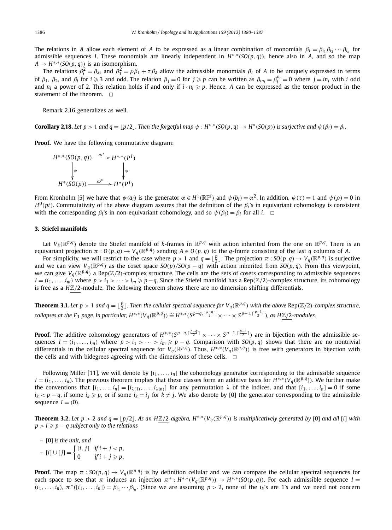The relations in *A* allow each element of *A* to be expressed as a linear combination of monomials  $β_I = β_i_1 β_i_2 \cdots β_i_n$  for admissible sequences *I*. These monomials are linearly independent in *H*∗*,*∗*(SO(p, q))*, hence also in *A*, and so the map  $A \rightarrow H^{*,*}(SO(p,q))$  is an isomorphism.

The relations  $\beta_i^2 = \beta_{2i}$  and  $\beta_1^2 = \rho \beta_1 + \tau \beta_2$  allow the admissible monomials  $\beta_I$  of A to be uniquely expressed in terms of  $\beta_1$ ,  $\beta_2$ , and  $\beta_i$  for  $i \geq 3$  and odd. The relation  $\beta_j = 0$  for  $j \geq p$  can be written as  $\beta_{in_i} = \beta_i^{n_i} = 0$  where  $j = in_i$  with i odd and  $n_i$  a power of 2. This relation holds if and only if  $i \cdot n_i \geq p$ . Hence, A can be expressed as the tensor product in the statement of the theorem.  $\square$ 

Remark 2.16 generalizes as well.

**Corollary 2.18.** Let  $p > 1$  and  $q = \lfloor p/2 \rfloor$ . Then the forgetful map  $\psi : H^{*,*}(SO(p,q) \to H^*(SO(p))$  is surjective and  $\psi(\beta_i) = \beta_i$ .

**Proof.** We have the following commutative diagram:

$$
H^{*,*}(SO(p,q)) \xrightarrow{\omega^*} H^{*,*}(P^I)
$$
  
\n
$$
\downarrow \psi \qquad \qquad \downarrow \psi
$$
  
\n
$$
H^*(SO(p)) \xrightarrow{\omega^*} H^*(P^I)
$$

From Kronholm [5] we have that  $\psi(a_i)$  is the generator  $\alpha\in H^1(\R\mathbb{P}^i)$  and  $\psi(b_i)=\alpha^2.$  In addition,  $\psi(\tau)=1$  and  $\psi(\rho)=0$  in  $H^0(pt)$ . Commutativity of the above diagram assures that the definition of the  $\beta_i$ 's in equivariant cohomology is consistent with the corresponding  $\beta_i$ 's in non-equivariant cohomology, and so  $\psi(\beta_i) = \beta_i$  for all *i*.  $\Box$ 

#### **3. Stiefel manifolds**

Let  $V_k(\mathbb{R}^{p,q})$  denote the Stiefel manifold of *k*-frames in  $\mathbb{R}^{p,q}$  with action inherited from the one on  $\mathbb{R}^{p,q}$ . There is an equivariant projection  $\pi: O(p,q) \to V_q(\mathbb{R}^{p,q})$  sending  $A \in O(p,q)$  to the q-frame consisting of the last q columns of A.

For simplicity, we will restrict to the case where  $p > 1$  and  $q = \lfloor \frac{p}{2} \rfloor$ . The projection  $\pi : SO(p, q) \to V_q(\mathbb{R}^{p,q})$  is surjective and we can view  $V_q(\mathbb{R}^{p,q})$  as the coset space  $SO(p)/SO(p-q)$  with action inherited from  $SO(p,q)$ . From this viewpoint, we can give  $V_q(\mathbb{R}^{p,q})$  a Rep $(\mathbb{Z}/2)$ -complex structure. The cells are the sets of cosets corresponding to admissible sequences  $I=(i_1,\ldots,i_m)$  where  $p>i_1>\cdots>i_m\geqslant p-q.$  Since the Stiefel manifold has a Rep(Z/2)-complex structure, its cohomology is free as a  $H\mathbb{Z}/2$ -module. The following theorem shows there are no dimension shifting differentials.

**Theorem 3.1.** Let  $p>1$  and  $q=\lfloor\frac{p}{2}\rfloor$ . Then the cellular spectral sequence for  $V_q(\mathbb{R}^{p,q})$  with the above Rep(Z/2)-complex structure, collapses at the E<sub>1</sub> page. In particular,  $H^{*,*}(V_q(\R^{p,q}))\cong H^{*,*}(S^{p-q,\lceil\frac{p-q}{2}\rceil}\times\cdots\times S^{p-1,\lceil\frac{p-1}{2}\rceil}),$  as HZ/2-modules.

**Proof.** The additive cohomology generators of  $H^{*,*}(S^{p-q,\lceil\frac{p-q}{2}\rceil}\times\cdots\times S^{p-1,\lceil\frac{p-1}{2}\rceil})$  are in bijection with the admissible sequences  $I=(i_1,\ldots,i_m)$  where  $p>i_1>\cdots>i_m\geqslant p-q$ . Comparison with  $SO(p,q)$  shows that there are no nontrivial differentials in the cellular spectral sequence for  $V_q(\mathbb{R}^{p,q})$ . Thus,  $H^{*,*}(V_q(\mathbb{R}^{p,q}))$  is free with generators in bijection with the cells and with bidegrees agreeing with the dimensions of these cells.  $\Box$ 

Following Miller [11], we will denote by  $[i_1, \ldots, i_n]$  the cohomology generator corresponding to the admissible sequence  $I = (i_1, \ldots, i_n)$ . The previous theorem implies that these classes form an additive basis for  $H^{*,*}(V_q(\mathbb{R}^{p,q}))$ . We further make the conventions that  $[i_1, ..., i_n] = [i_{\lambda(1)}, ..., i_{\lambda(n)}]$  for any permutation  $\lambda$  of the indices, and that  $[i_1, ..., i_n] = 0$  if some *i<sub>k</sub>* < *p* − *q*, if some *i<sub>k</sub>* ≥ *p*, or if some *i<sub>k</sub>* = *i<sub>j</sub>* for *k* ≠ *j*. We also denote by [0] the generator corresponding to the admissible sequence  $I = (0)$ .

**Theorem 3.2.** Let  $p > 2$  and  $q = \lfloor p/2 \rfloor$ . As an HZ/2-algebra, H<sup>\*,\*</sup>(V<sub>q</sub>( $\mathbb{R}^{p,q}$ )) is multiplicatively generated by [0] and all [i] with  $p > i \geqslant p - q$  subject only to the relations

– [0] *is the unit, and*

– [*i*]∪[*j*] = [*i, <sup>j</sup>*] *if i* <sup>+</sup> *<sup>j</sup> <sup>&</sup>lt; <sup>p</sup>,* 0 *if i* + *j* - *p.*

**Proof.** The map  $\pi$  :  $SO(p,q) \to V_q(\mathbb{R}^{p,q})$  is by definition cellular and we can compare the cellular spectral sequences for each space to see that  $\pi$  induces an injection  $\pi^*: H^{*,*}(V_q(\mathbb{R}^{p,q})) \to H^{*,*}(SO(p,q))$ . For each admissible sequence  $I =$  $(i_1,...,i_n)$ ,  $\pi^*([i_1,...,i_n]) = \beta_{i_1} \cdots \beta_{i_n}$ . (Since we are assuming  $p > 2$ , none of the  $i_k$ 's are 1's and we need not concern